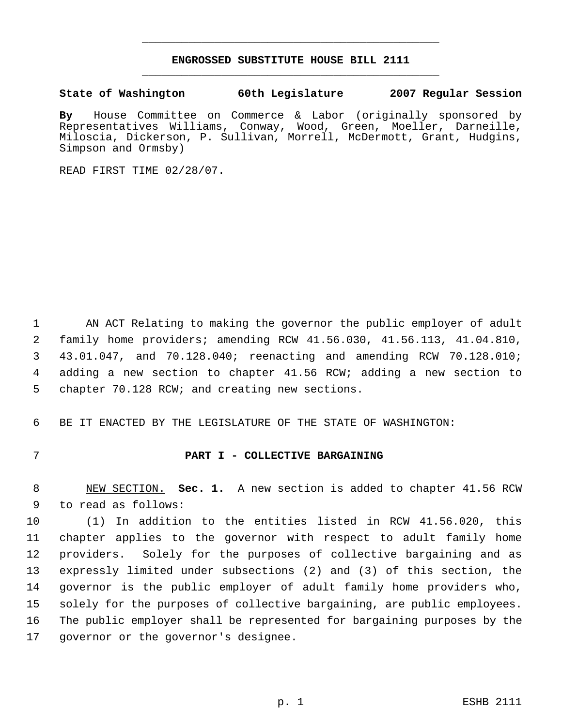## **ENGROSSED SUBSTITUTE HOUSE BILL 2111** \_\_\_\_\_\_\_\_\_\_\_\_\_\_\_\_\_\_\_\_\_\_\_\_\_\_\_\_\_\_\_\_\_\_\_\_\_\_\_\_\_\_\_\_\_

\_\_\_\_\_\_\_\_\_\_\_\_\_\_\_\_\_\_\_\_\_\_\_\_\_\_\_\_\_\_\_\_\_\_\_\_\_\_\_\_\_\_\_\_\_

**State of Washington 60th Legislature 2007 Regular Session**

**By** House Committee on Commerce & Labor (originally sponsored by Representatives Williams, Conway, Wood, Green, Moeller, Darneille, Miloscia, Dickerson, P. Sullivan, Morrell, McDermott, Grant, Hudgins, Simpson and Ormsby)

READ FIRST TIME 02/28/07.

 AN ACT Relating to making the governor the public employer of adult family home providers; amending RCW 41.56.030, 41.56.113, 41.04.810, 43.01.047, and 70.128.040; reenacting and amending RCW 70.128.010; adding a new section to chapter 41.56 RCW; adding a new section to 5 chapter 70.128 RCW; and creating new sections.

6 BE IT ENACTED BY THE LEGISLATURE OF THE STATE OF WASHINGTON:

## 7 **PART I - COLLECTIVE BARGAINING**

 8 NEW SECTION. **Sec. 1.** A new section is added to chapter 41.56 RCW 9 to read as follows:

 (1) In addition to the entities listed in RCW 41.56.020, this chapter applies to the governor with respect to adult family home providers. Solely for the purposes of collective bargaining and as expressly limited under subsections (2) and (3) of this section, the governor is the public employer of adult family home providers who, solely for the purposes of collective bargaining, are public employees. The public employer shall be represented for bargaining purposes by the governor or the governor's designee.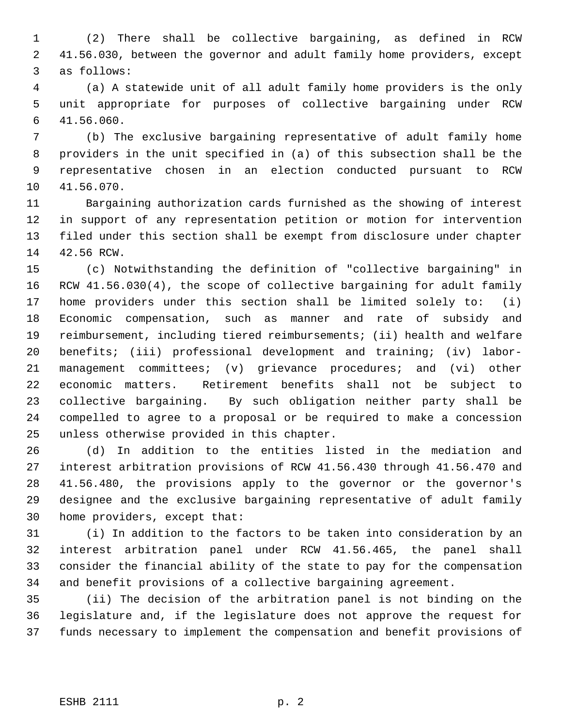(2) There shall be collective bargaining, as defined in RCW 41.56.030, between the governor and adult family home providers, except as follows:

 (a) A statewide unit of all adult family home providers is the only unit appropriate for purposes of collective bargaining under RCW 41.56.060.

 (b) The exclusive bargaining representative of adult family home providers in the unit specified in (a) of this subsection shall be the representative chosen in an election conducted pursuant to RCW 41.56.070.

 Bargaining authorization cards furnished as the showing of interest in support of any representation petition or motion for intervention filed under this section shall be exempt from disclosure under chapter 42.56 RCW.

 (c) Notwithstanding the definition of "collective bargaining" in RCW 41.56.030(4), the scope of collective bargaining for adult family home providers under this section shall be limited solely to: (i) Economic compensation, such as manner and rate of subsidy and reimbursement, including tiered reimbursements; (ii) health and welfare benefits; (iii) professional development and training; (iv) labor- management committees; (v) grievance procedures; and (vi) other economic matters. Retirement benefits shall not be subject to collective bargaining. By such obligation neither party shall be compelled to agree to a proposal or be required to make a concession unless otherwise provided in this chapter.

 (d) In addition to the entities listed in the mediation and interest arbitration provisions of RCW 41.56.430 through 41.56.470 and 41.56.480, the provisions apply to the governor or the governor's designee and the exclusive bargaining representative of adult family home providers, except that:

 (i) In addition to the factors to be taken into consideration by an interest arbitration panel under RCW 41.56.465, the panel shall consider the financial ability of the state to pay for the compensation and benefit provisions of a collective bargaining agreement.

 (ii) The decision of the arbitration panel is not binding on the legislature and, if the legislature does not approve the request for funds necessary to implement the compensation and benefit provisions of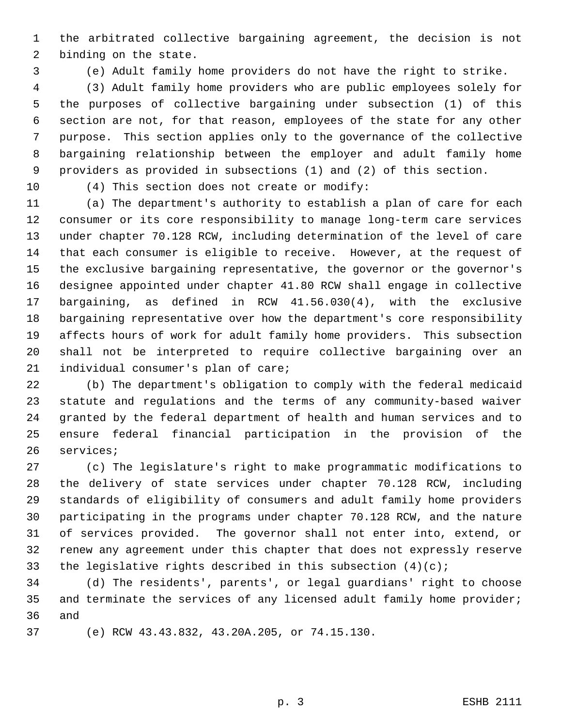the arbitrated collective bargaining agreement, the decision is not binding on the state.

(e) Adult family home providers do not have the right to strike.

 (3) Adult family home providers who are public employees solely for the purposes of collective bargaining under subsection (1) of this section are not, for that reason, employees of the state for any other purpose. This section applies only to the governance of the collective bargaining relationship between the employer and adult family home providers as provided in subsections (1) and (2) of this section.

(4) This section does not create or modify:

 (a) The department's authority to establish a plan of care for each consumer or its core responsibility to manage long-term care services under chapter 70.128 RCW, including determination of the level of care that each consumer is eligible to receive. However, at the request of the exclusive bargaining representative, the governor or the governor's designee appointed under chapter 41.80 RCW shall engage in collective bargaining, as defined in RCW 41.56.030(4), with the exclusive bargaining representative over how the department's core responsibility affects hours of work for adult family home providers. This subsection shall not be interpreted to require collective bargaining over an individual consumer's plan of care;

 (b) The department's obligation to comply with the federal medicaid statute and regulations and the terms of any community-based waiver granted by the federal department of health and human services and to ensure federal financial participation in the provision of the services;

 (c) The legislature's right to make programmatic modifications to the delivery of state services under chapter 70.128 RCW, including standards of eligibility of consumers and adult family home providers participating in the programs under chapter 70.128 RCW, and the nature of services provided. The governor shall not enter into, extend, or renew any agreement under this chapter that does not expressly reserve 33 the legislative rights described in this subsection  $(4)(c)i$ 

 (d) The residents', parents', or legal guardians' right to choose 35 and terminate the services of any licensed adult family home provider; and

(e) RCW 43.43.832, 43.20A.205, or 74.15.130.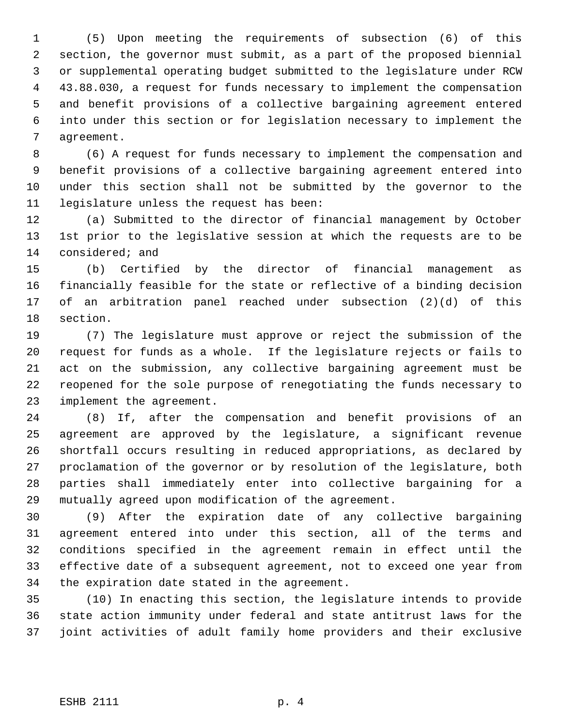(5) Upon meeting the requirements of subsection (6) of this section, the governor must submit, as a part of the proposed biennial or supplemental operating budget submitted to the legislature under RCW 43.88.030, a request for funds necessary to implement the compensation and benefit provisions of a collective bargaining agreement entered into under this section or for legislation necessary to implement the agreement.

 (6) A request for funds necessary to implement the compensation and benefit provisions of a collective bargaining agreement entered into under this section shall not be submitted by the governor to the legislature unless the request has been:

 (a) Submitted to the director of financial management by October 1st prior to the legislative session at which the requests are to be considered; and

 (b) Certified by the director of financial management as financially feasible for the state or reflective of a binding decision of an arbitration panel reached under subsection (2)(d) of this section.

 (7) The legislature must approve or reject the submission of the request for funds as a whole. If the legislature rejects or fails to act on the submission, any collective bargaining agreement must be reopened for the sole purpose of renegotiating the funds necessary to implement the agreement.

 (8) If, after the compensation and benefit provisions of an agreement are approved by the legislature, a significant revenue shortfall occurs resulting in reduced appropriations, as declared by proclamation of the governor or by resolution of the legislature, both parties shall immediately enter into collective bargaining for a mutually agreed upon modification of the agreement.

 (9) After the expiration date of any collective bargaining agreement entered into under this section, all of the terms and conditions specified in the agreement remain in effect until the effective date of a subsequent agreement, not to exceed one year from the expiration date stated in the agreement.

 (10) In enacting this section, the legislature intends to provide state action immunity under federal and state antitrust laws for the joint activities of adult family home providers and their exclusive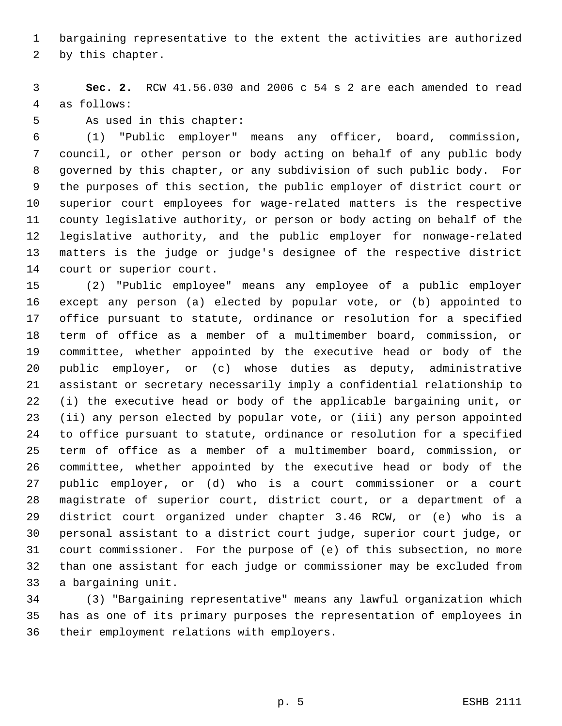bargaining representative to the extent the activities are authorized

by this chapter.

 **Sec. 2.** RCW 41.56.030 and 2006 c 54 s 2 are each amended to read as follows:

As used in this chapter:

 (1) "Public employer" means any officer, board, commission, council, or other person or body acting on behalf of any public body governed by this chapter, or any subdivision of such public body. For the purposes of this section, the public employer of district court or superior court employees for wage-related matters is the respective county legislative authority, or person or body acting on behalf of the legislative authority, and the public employer for nonwage-related matters is the judge or judge's designee of the respective district court or superior court.

 (2) "Public employee" means any employee of a public employer except any person (a) elected by popular vote, or (b) appointed to office pursuant to statute, ordinance or resolution for a specified term of office as a member of a multimember board, commission, or committee, whether appointed by the executive head or body of the public employer, or (c) whose duties as deputy, administrative assistant or secretary necessarily imply a confidential relationship to (i) the executive head or body of the applicable bargaining unit, or (ii) any person elected by popular vote, or (iii) any person appointed to office pursuant to statute, ordinance or resolution for a specified term of office as a member of a multimember board, commission, or committee, whether appointed by the executive head or body of the public employer, or (d) who is a court commissioner or a court magistrate of superior court, district court, or a department of a district court organized under chapter 3.46 RCW, or (e) who is a personal assistant to a district court judge, superior court judge, or court commissioner. For the purpose of (e) of this subsection, no more than one assistant for each judge or commissioner may be excluded from a bargaining unit.

 (3) "Bargaining representative" means any lawful organization which has as one of its primary purposes the representation of employees in their employment relations with employers.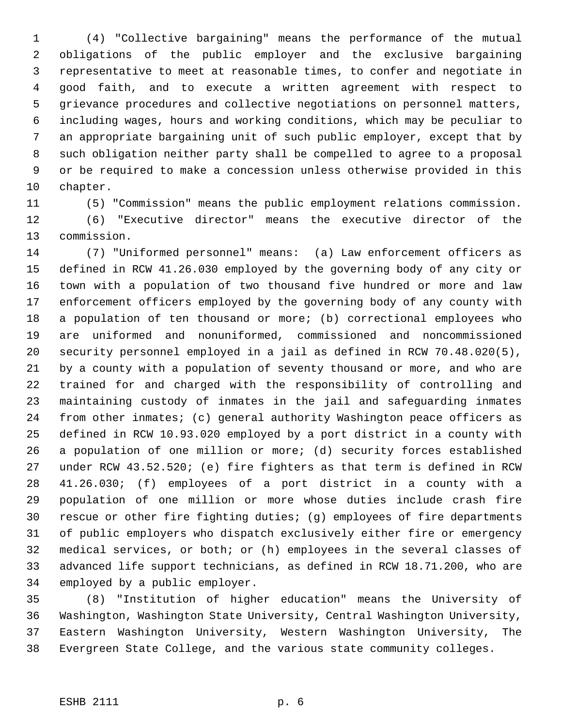(4) "Collective bargaining" means the performance of the mutual obligations of the public employer and the exclusive bargaining representative to meet at reasonable times, to confer and negotiate in good faith, and to execute a written agreement with respect to grievance procedures and collective negotiations on personnel matters, including wages, hours and working conditions, which may be peculiar to an appropriate bargaining unit of such public employer, except that by such obligation neither party shall be compelled to agree to a proposal or be required to make a concession unless otherwise provided in this chapter.

(5) "Commission" means the public employment relations commission.

 (6) "Executive director" means the executive director of the commission.

 (7) "Uniformed personnel" means: (a) Law enforcement officers as defined in RCW 41.26.030 employed by the governing body of any city or town with a population of two thousand five hundred or more and law enforcement officers employed by the governing body of any county with a population of ten thousand or more; (b) correctional employees who are uniformed and nonuniformed, commissioned and noncommissioned security personnel employed in a jail as defined in RCW 70.48.020(5), by a county with a population of seventy thousand or more, and who are trained for and charged with the responsibility of controlling and maintaining custody of inmates in the jail and safeguarding inmates from other inmates; (c) general authority Washington peace officers as defined in RCW 10.93.020 employed by a port district in a county with a population of one million or more; (d) security forces established under RCW 43.52.520; (e) fire fighters as that term is defined in RCW 41.26.030; (f) employees of a port district in a county with a population of one million or more whose duties include crash fire rescue or other fire fighting duties; (g) employees of fire departments of public employers who dispatch exclusively either fire or emergency medical services, or both; or (h) employees in the several classes of advanced life support technicians, as defined in RCW 18.71.200, who are employed by a public employer.

 (8) "Institution of higher education" means the University of Washington, Washington State University, Central Washington University, Eastern Washington University, Western Washington University, The Evergreen State College, and the various state community colleges.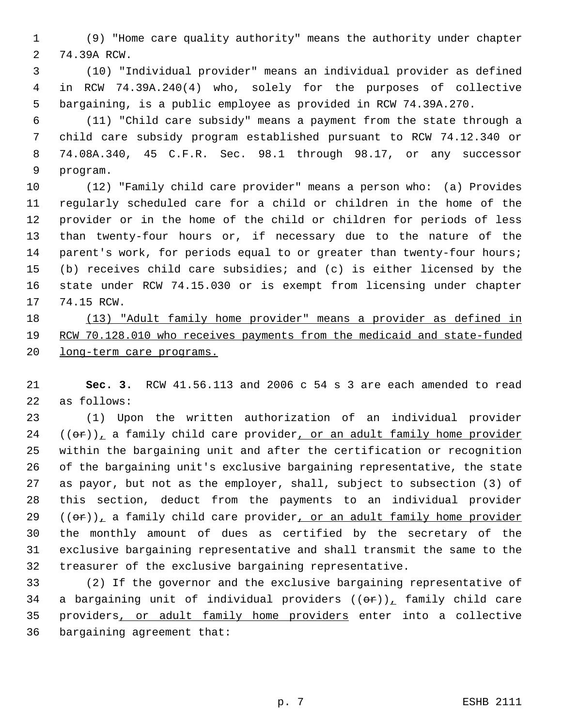(9) "Home care quality authority" means the authority under chapter 74.39A RCW.

 (10) "Individual provider" means an individual provider as defined in RCW 74.39A.240(4) who, solely for the purposes of collective bargaining, is a public employee as provided in RCW 74.39A.270.

 (11) "Child care subsidy" means a payment from the state through a child care subsidy program established pursuant to RCW 74.12.340 or 74.08A.340, 45 C.F.R. Sec. 98.1 through 98.17, or any successor program.

 (12) "Family child care provider" means a person who: (a) Provides regularly scheduled care for a child or children in the home of the provider or in the home of the child or children for periods of less than twenty-four hours or, if necessary due to the nature of the parent's work, for periods equal to or greater than twenty-four hours; (b) receives child care subsidies; and (c) is either licensed by the state under RCW 74.15.030 or is exempt from licensing under chapter 74.15 RCW.

 (13) "Adult family home provider" means a provider as defined in RCW 70.128.010 who receives payments from the medicaid and state-funded long-term care programs.

 **Sec. 3.** RCW 41.56.113 and 2006 c 54 s 3 are each amended to read as follows:

 (1) Upon the written authorization of an individual provider (( $\theta$ r)), a family child care provider, or an adult family home provider within the bargaining unit and after the certification or recognition of the bargaining unit's exclusive bargaining representative, the state as payor, but not as the employer, shall, subject to subsection (3) of this section, deduct from the payments to an individual provider (( $\theta$ r)), a family child care provider, or an adult family home provider the monthly amount of dues as certified by the secretary of the exclusive bargaining representative and shall transmit the same to the treasurer of the exclusive bargaining representative.

 (2) If the governor and the exclusive bargaining representative of 34 a bargaining unit of individual providers  $((\theta \hat{r}))$ , family child care providers, or adult family home providers enter into a collective bargaining agreement that: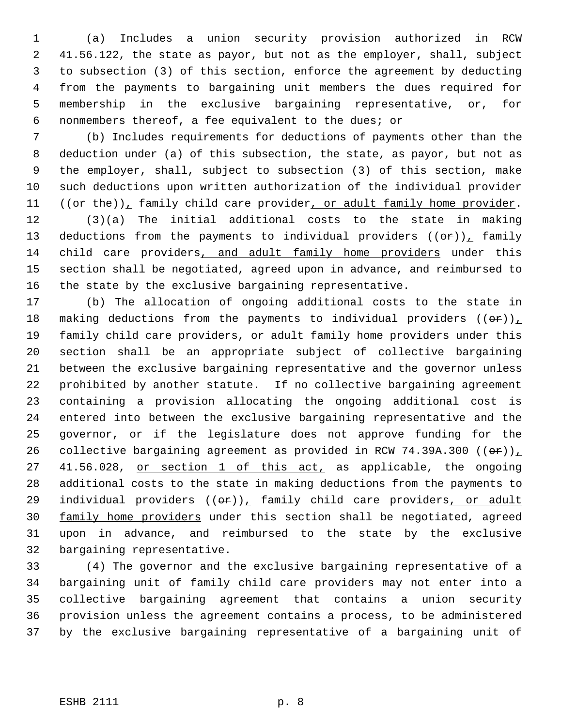(a) Includes a union security provision authorized in RCW 41.56.122, the state as payor, but not as the employer, shall, subject to subsection (3) of this section, enforce the agreement by deducting from the payments to bargaining unit members the dues required for membership in the exclusive bargaining representative, or, for nonmembers thereof, a fee equivalent to the dues; or

 (b) Includes requirements for deductions of payments other than the deduction under (a) of this subsection, the state, as payor, but not as the employer, shall, subject to subsection (3) of this section, make such deductions upon written authorization of the individual provider  $((or the))_1$  family child care provider, or adult family home provider.

 (3)(a) The initial additional costs to the state in making 13 deductions from the payments to individual providers  $((\theta \hat{r}))$ , family child care providers, and adult family home providers under this section shall be negotiated, agreed upon in advance, and reimbursed to the state by the exclusive bargaining representative.

 (b) The allocation of ongoing additional costs to the state in 18 making deductions from the payments to individual providers  $((\theta \cdot \mathbf{r}))$ 19 family child care providers, or adult family home providers under this section shall be an appropriate subject of collective bargaining between the exclusive bargaining representative and the governor unless prohibited by another statute. If no collective bargaining agreement containing a provision allocating the ongoing additional cost is entered into between the exclusive bargaining representative and the governor, or if the legislature does not approve funding for the 26 collective bargaining agreement as provided in RCW 74.39A.300  $((\theta \cdot \mathbf{r}))$ 27 41.56.028, or section 1 of this act, as applicable, the ongoing additional costs to the state in making deductions from the payments to 29 individual providers  $((\theta \hat{r}))_T$  family child care providers, or adult 30 family home providers under this section shall be negotiated, agreed upon in advance, and reimbursed to the state by the exclusive bargaining representative.

 (4) The governor and the exclusive bargaining representative of a bargaining unit of family child care providers may not enter into a collective bargaining agreement that contains a union security provision unless the agreement contains a process, to be administered by the exclusive bargaining representative of a bargaining unit of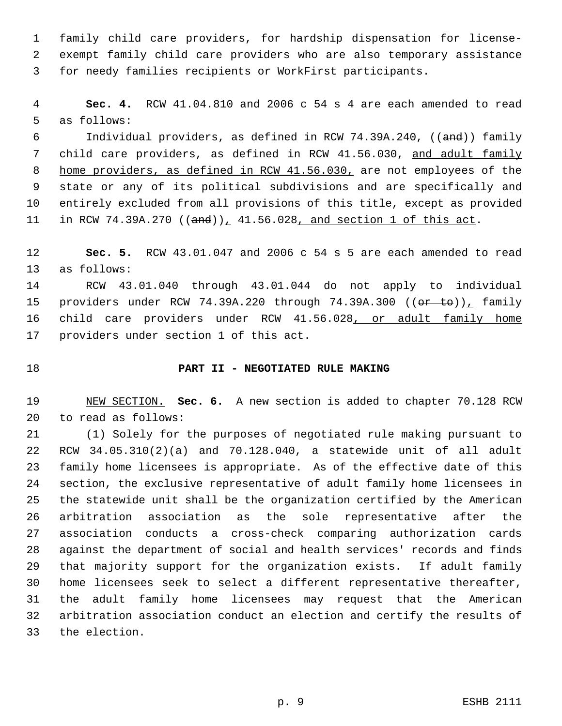family child care providers, for hardship dispensation for license- exempt family child care providers who are also temporary assistance for needy families recipients or WorkFirst participants.

 **Sec. 4.** RCW 41.04.810 and 2006 c 54 s 4 are each amended to read as follows:

 Individual providers, as defined in RCW 74.39A.240, ((and)) family child care providers, as defined in RCW 41.56.030, and adult family 8 home providers, as defined in RCW 41.56.030, are not employees of the state or any of its political subdivisions and are specifically and entirely excluded from all provisions of this title, except as provided 11 in RCW 74.39A.270  $((and))_1$  41.56.028, and section 1 of this act.

 **Sec. 5.** RCW 43.01.047 and 2006 c 54 s 5 are each amended to read as follows:

 RCW 43.01.040 through 43.01.044 do not apply to individual 15 providers under RCW 74.39A.220 through 74.39A.300 ((or to)), family 16 child care providers under RCW 41.56.028, or adult family home providers under section 1 of this act.

## **PART II - NEGOTIATED RULE MAKING**

 NEW SECTION. **Sec. 6.** A new section is added to chapter 70.128 RCW to read as follows:

 (1) Solely for the purposes of negotiated rule making pursuant to RCW 34.05.310(2)(a) and 70.128.040, a statewide unit of all adult family home licensees is appropriate. As of the effective date of this section, the exclusive representative of adult family home licensees in the statewide unit shall be the organization certified by the American arbitration association as the sole representative after the association conducts a cross-check comparing authorization cards against the department of social and health services' records and finds that majority support for the organization exists. If adult family home licensees seek to select a different representative thereafter, the adult family home licensees may request that the American arbitration association conduct an election and certify the results of the election.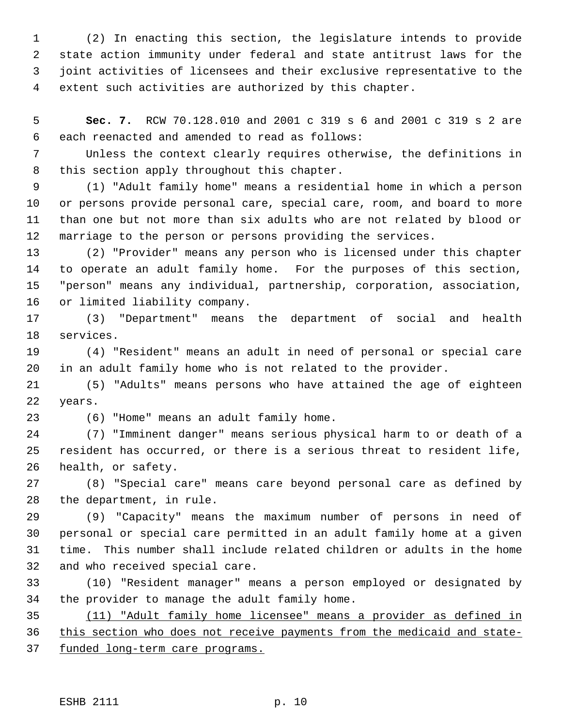(2) In enacting this section, the legislature intends to provide state action immunity under federal and state antitrust laws for the joint activities of licensees and their exclusive representative to the extent such activities are authorized by this chapter.

 **Sec. 7.** RCW 70.128.010 and 2001 c 319 s 6 and 2001 c 319 s 2 are each reenacted and amended to read as follows:

 Unless the context clearly requires otherwise, the definitions in this section apply throughout this chapter.

 (1) "Adult family home" means a residential home in which a person or persons provide personal care, special care, room, and board to more than one but not more than six adults who are not related by blood or marriage to the person or persons providing the services.

 (2) "Provider" means any person who is licensed under this chapter to operate an adult family home. For the purposes of this section, "person" means any individual, partnership, corporation, association, or limited liability company.

 (3) "Department" means the department of social and health services.

 (4) "Resident" means an adult in need of personal or special care in an adult family home who is not related to the provider.

 (5) "Adults" means persons who have attained the age of eighteen years.

(6) "Home" means an adult family home.

 (7) "Imminent danger" means serious physical harm to or death of a resident has occurred, or there is a serious threat to resident life, health, or safety.

 (8) "Special care" means care beyond personal care as defined by the department, in rule.

 (9) "Capacity" means the maximum number of persons in need of personal or special care permitted in an adult family home at a given time. This number shall include related children or adults in the home and who received special care.

 (10) "Resident manager" means a person employed or designated by the provider to manage the adult family home.

 (11) "Adult family home licensee" means a provider as defined in this section who does not receive payments from the medicaid and state-funded long-term care programs.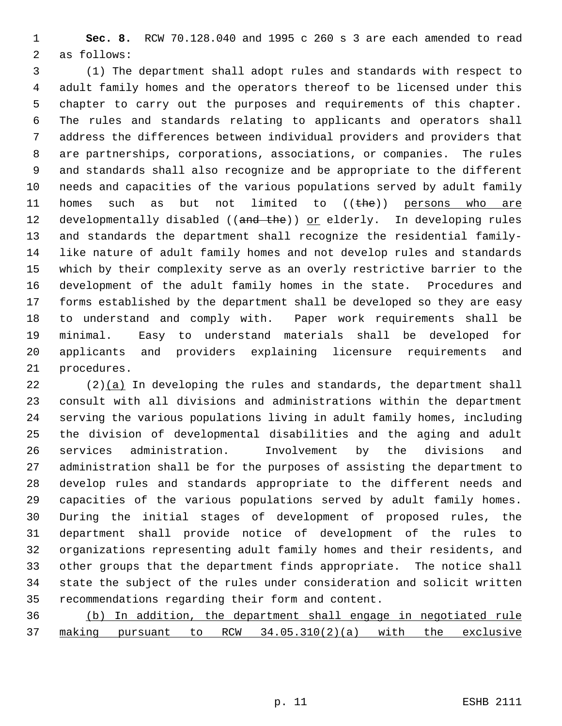**Sec. 8.** RCW 70.128.040 and 1995 c 260 s 3 are each amended to read as follows:

 (1) The department shall adopt rules and standards with respect to adult family homes and the operators thereof to be licensed under this chapter to carry out the purposes and requirements of this chapter. The rules and standards relating to applicants and operators shall address the differences between individual providers and providers that are partnerships, corporations, associations, or companies. The rules and standards shall also recognize and be appropriate to the different needs and capacities of the various populations served by adult family 11 homes such as but not limited to  $((the)$  persons who are 12 developmentally disabled ((and the)) or elderly. In developing rules and standards the department shall recognize the residential family- like nature of adult family homes and not develop rules and standards which by their complexity serve as an overly restrictive barrier to the development of the adult family homes in the state. Procedures and forms established by the department shall be developed so they are easy to understand and comply with. Paper work requirements shall be minimal. Easy to understand materials shall be developed for applicants and providers explaining licensure requirements and procedures.

 (2)(a) In developing the rules and standards, the department shall consult with all divisions and administrations within the department serving the various populations living in adult family homes, including the division of developmental disabilities and the aging and adult services administration. Involvement by the divisions and administration shall be for the purposes of assisting the department to develop rules and standards appropriate to the different needs and capacities of the various populations served by adult family homes. During the initial stages of development of proposed rules, the department shall provide notice of development of the rules to organizations representing adult family homes and their residents, and other groups that the department finds appropriate. The notice shall state the subject of the rules under consideration and solicit written recommendations regarding their form and content.

 (b) In addition, the department shall engage in negotiated rule making pursuant to RCW 34.05.310(2)(a) with the exclusive